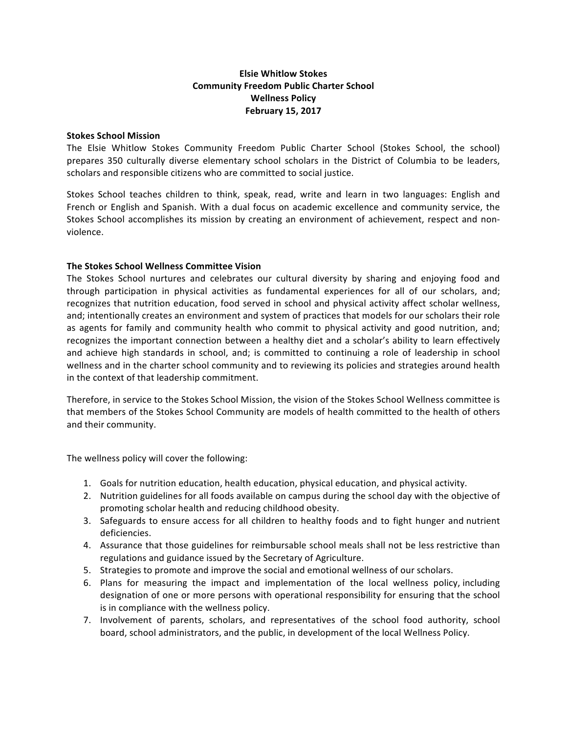# **Elsie Whitlow Stokes Community Freedom Public Charter School Wellness Policy February 15, 2017**

### **Stokes School Mission**

The Elsie Whitlow Stokes Community Freedom Public Charter School (Stokes School, the school) prepares 350 culturally diverse elementary school scholars in the District of Columbia to be leaders, scholars and responsible citizens who are committed to social justice.

Stokes School teaches children to think, speak, read, write and learn in two languages: English and French or English and Spanish. With a dual focus on academic excellence and community service, the Stokes School accomplishes its mission by creating an environment of achievement, respect and nonviolence.

### **The Stokes School Wellness Committee Vision**

The Stokes School nurtures and celebrates our cultural diversity by sharing and enjoying food and through participation in physical activities as fundamental experiences for all of our scholars, and; recognizes that nutrition education, food served in school and physical activity affect scholar wellness, and; intentionally creates an environment and system of practices that models for our scholars their role as agents for family and community health who commit to physical activity and good nutrition, and; recognizes the important connection between a healthy diet and a scholar's ability to learn effectively and achieve high standards in school, and; is committed to continuing a role of leadership in school wellness and in the charter school community and to reviewing its policies and strategies around health in the context of that leadership commitment.

Therefore, in service to the Stokes School Mission, the vision of the Stokes School Wellness committee is that members of the Stokes School Community are models of health committed to the health of others and their community.

The wellness policy will cover the following:

- 1. Goals for nutrition education, health education, physical education, and physical activity.
- 2. Nutrition guidelines for all foods available on campus during the school day with the objective of promoting scholar health and reducing childhood obesity.
- 3. Safeguards to ensure access for all children to healthy foods and to fight hunger and nutrient deficiencies.
- 4. Assurance that those guidelines for reimbursable school meals shall not be less restrictive than regulations and guidance issued by the Secretary of Agriculture.
- 5. Strategies to promote and improve the social and emotional wellness of our scholars.
- 6. Plans for measuring the impact and implementation of the local wellness policy, including designation of one or more persons with operational responsibility for ensuring that the school is in compliance with the wellness policy.
- 7. Involvement of parents, scholars, and representatives of the school food authority, school board, school administrators, and the public, in development of the local Wellness Policy.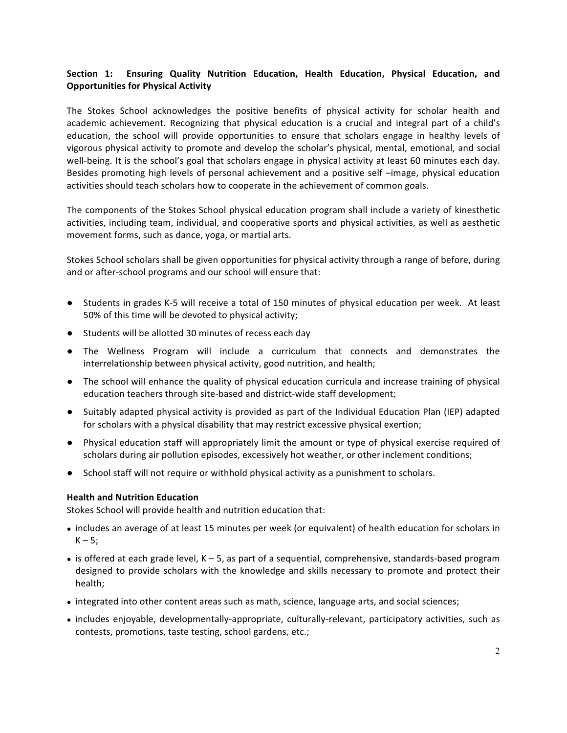# Section 1: Ensuring Quality Nutrition Education, Health Education, Physical Education, and **Opportunities for Physical Activity**

The Stokes School acknowledges the positive benefits of physical activity for scholar health and academic achievement. Recognizing that physical education is a crucial and integral part of a child's education, the school will provide opportunities to ensure that scholars engage in healthy levels of vigorous physical activity to promote and develop the scholar's physical, mental, emotional, and social well-being. It is the school's goal that scholars engage in physical activity at least 60 minutes each day. Besides promoting high levels of personal achievement and a positive self -image, physical education activities should teach scholars how to cooperate in the achievement of common goals.

The components of the Stokes School physical education program shall include a variety of kinesthetic activities, including team, individual, and cooperative sports and physical activities, as well as aesthetic movement forms, such as dance, yoga, or martial arts.

Stokes School scholars shall be given opportunities for physical activity through a range of before, during and or after-school programs and our school will ensure that:

- Students in grades K-5 will receive a total of 150 minutes of physical education per week. At least 50% of this time will be devoted to physical activity;
- Students will be allotted 30 minutes of recess each day
- The Wellness Program will include a curriculum that connects and demonstrates the interrelationship between physical activity, good nutrition, and health;
- The school will enhance the quality of physical education curricula and increase training of physical education teachers through site-based and district-wide staff development;
- Suitably adapted physical activity is provided as part of the Individual Education Plan (IEP) adapted for scholars with a physical disability that may restrict excessive physical exertion;
- Physical education staff will appropriately limit the amount or type of physical exercise required of scholars during air pollution episodes, excessively hot weather, or other inclement conditions;
- School staff will not require or withhold physical activity as a punishment to scholars.

#### **Health and Nutrition Education**

Stokes School will provide health and nutrition education that:

- includes an average of at least 15 minutes per week (or equivalent) of health education for scholars in  $K - 5;$
- is offered at each grade level,  $K 5$ , as part of a sequential, comprehensive, standards-based program designed to provide scholars with the knowledge and skills necessary to promote and protect their health;
- integrated into other content areas such as math, science, language arts, and social sciences;
- includes enjoyable, developmentally-appropriate, culturally-relevant, participatory activities, such as contests, promotions, taste testing, school gardens, etc.;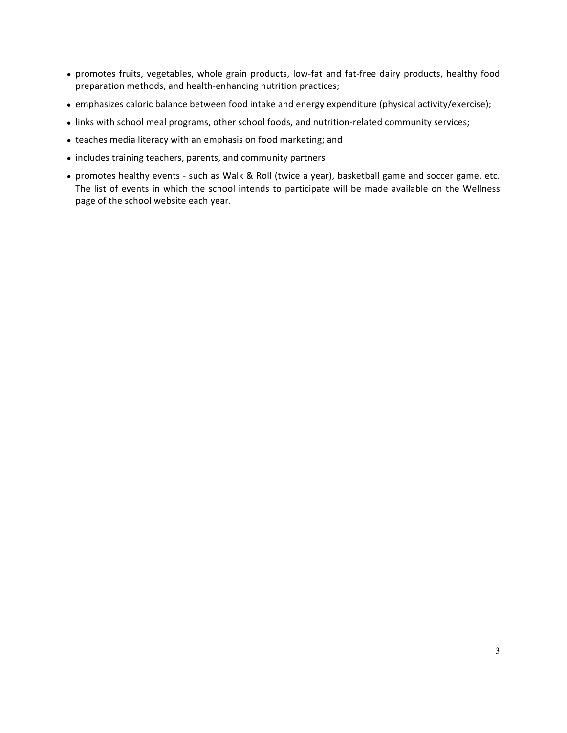- promotes fruits, vegetables, whole grain products, low-fat and fat-free dairy products, healthy food preparation methods, and health-enhancing nutrition practices;
- emphasizes caloric balance between food intake and energy expenditure (physical activity/exercise);
- links with school meal programs, other school foods, and nutrition-related community services;
- teaches media literacy with an emphasis on food marketing; and
- includes training teachers, parents, and community partners
- promotes healthy events such as Walk & Roll (twice a year), basketball game and soccer game, etc. The list of events in which the school intends to participate will be made available on the Wellness page of the school website each year.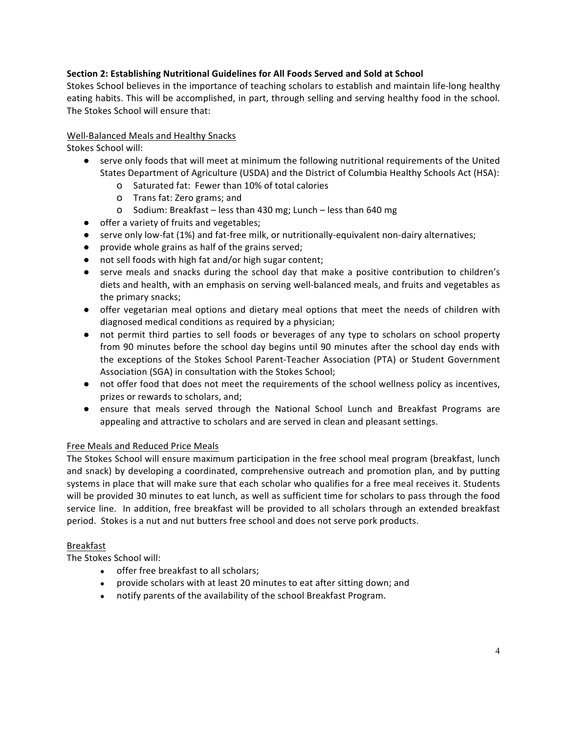# **Section 2: Establishing Nutritional Guidelines for All Foods Served and Sold at School**

Stokes School believes in the importance of teaching scholars to establish and maintain life-long healthy eating habits. This will be accomplished, in part, through selling and serving healthy food in the school. The Stokes School will ensure that:

### Well-Balanced Meals and Healthy Snacks

Stokes School will:

- serve only foods that will meet at minimum the following nutritional requirements of the United States Department of Agriculture (USDA) and the District of Columbia Healthy Schools Act (HSA):
	- O Saturated fat: Fewer than 10% of total calories
	- o Trans fat: Zero grams; and
	- o Sodium: Breakfast less than 430 mg; Lunch less than 640 mg
- offer a variety of fruits and vegetables;
- serve only low-fat (1%) and fat-free milk, or nutritionally-equivalent non-dairy alternatives;
- provide whole grains as half of the grains served;
- not sell foods with high fat and/or high sugar content;
- serve meals and snacks during the school day that make a positive contribution to children's diets and health, with an emphasis on serving well-balanced meals, and fruits and vegetables as the primary snacks;
- offer vegetarian meal options and dietary meal options that meet the needs of children with diagnosed medical conditions as required by a physician;
- not permit third parties to sell foods or beverages of any type to scholars on school property from 90 minutes before the school day begins until 90 minutes after the school day ends with the exceptions of the Stokes School Parent-Teacher Association (PTA) or Student Government Association (SGA) in consultation with the Stokes School;
- $\bullet$  not offer food that does not meet the requirements of the school wellness policy as incentives, prizes or rewards to scholars, and;
- ensure that meals served through the National School Lunch and Breakfast Programs are appealing and attractive to scholars and are served in clean and pleasant settings.

# Free Meals and Reduced Price Meals

The Stokes School will ensure maximum participation in the free school meal program (breakfast, lunch and snack) by developing a coordinated, comprehensive outreach and promotion plan, and by putting systems in place that will make sure that each scholar who qualifies for a free meal receives it. Students will be provided 30 minutes to eat lunch, as well as sufficient time for scholars to pass through the food service line. In addition, free breakfast will be provided to all scholars through an extended breakfast period. Stokes is a nut and nut butters free school and does not serve pork products.

### Breakfast

The Stokes School will:

- offer free breakfast to all scholars;
- provide scholars with at least 20 minutes to eat after sitting down; and
- notify parents of the availability of the school Breakfast Program.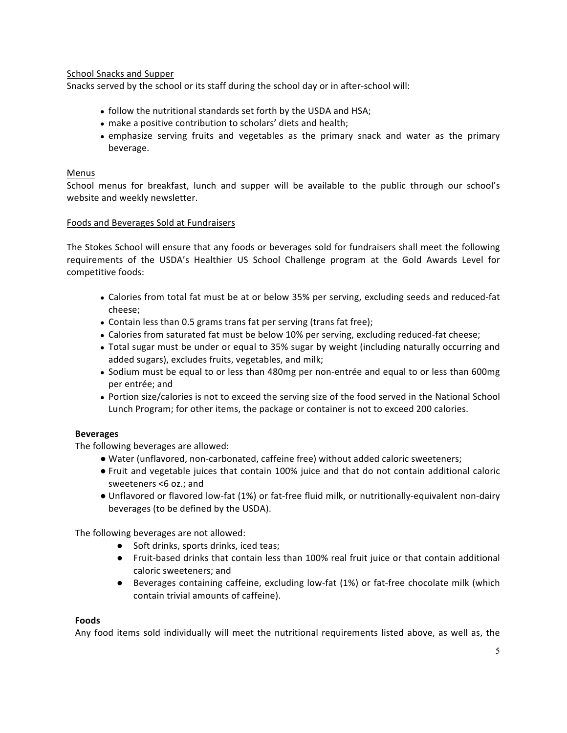School Snacks and Supper

Snacks served by the school or its staff during the school day or in after-school will:

- follow the nutritional standards set forth by the USDA and HSA;
- make a positive contribution to scholars' diets and health;
- emphasize serving fruits and vegetables as the primary snack and water as the primary beverage.

### Menus

School menus for breakfast, lunch and supper will be available to the public through our school's website and weekly newsletter.

### Foods and Beverages Sold at Fundraisers

The Stokes School will ensure that any foods or beverages sold for fundraisers shall meet the following requirements of the USDA's Healthier US School Challenge program at the Gold Awards Level for competitive foods:

- Calories from total fat must be at or below 35% per serving, excluding seeds and reduced-fat cheese;
- Contain less than 0.5 grams trans fat per serving (trans fat free);
- Calories from saturated fat must be below 10% per serving, excluding reduced-fat cheese;
- Total sugar must be under or equal to 35% sugar by weight (including naturally occurring and added sugars), excludes fruits, vegetables, and milk;
- Sodium must be equal to or less than 480mg per non-entrée and equal to or less than 600mg per entrée; and
- Portion size/calories is not to exceed the serving size of the food served in the National School Lunch Program; for other items, the package or container is not to exceed 200 calories.

### **Beverages**

The following beverages are allowed:

- Water (unflavored, non-carbonated, caffeine free) without added caloric sweeteners;
- Fruit and vegetable juices that contain 100% juice and that do not contain additional caloric sweeteners <6 oz.; and
- Unflavored or flavored low-fat (1%) or fat-free fluid milk, or nutritionally-equivalent non-dairy beverages (to be defined by the USDA).

The following beverages are not allowed:

- Soft drinks, sports drinks, iced teas;
- Fruit-based drinks that contain less than 100% real fruit juice or that contain additional caloric sweeteners; and
- Beverages containing caffeine, excluding low-fat (1%) or fat-free chocolate milk (which contain trivial amounts of caffeine).

### **Foods**

Any food items sold individually will meet the nutritional requirements listed above, as well as, the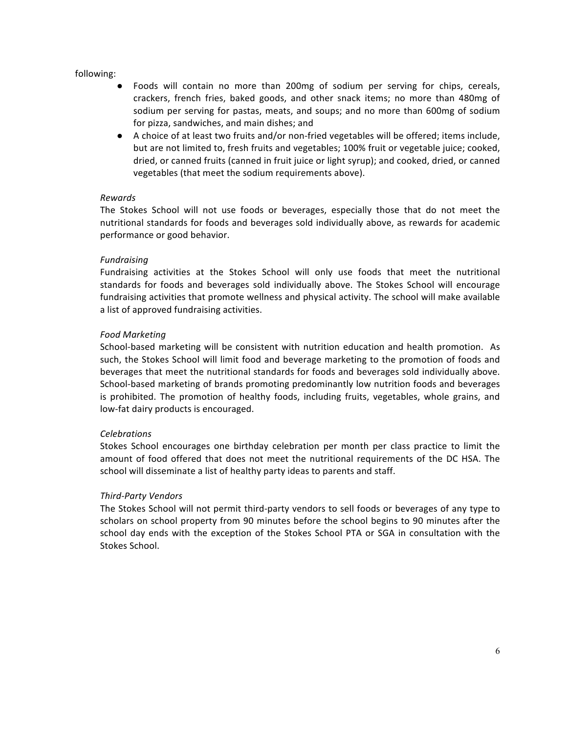### following:

- Foods will contain no more than 200mg of sodium per serving for chips, cereals, crackers, french fries, baked goods, and other snack items; no more than 480mg of sodium per serving for pastas, meats, and soups; and no more than 600mg of sodium for pizza, sandwiches, and main dishes; and
- A choice of at least two fruits and/or non-fried vegetables will be offered; items include, but are not limited to, fresh fruits and vegetables; 100% fruit or vegetable juice; cooked, dried, or canned fruits (canned in fruit juice or light syrup); and cooked, dried, or canned vegetables (that meet the sodium requirements above).

### *Rewards*

The Stokes School will not use foods or beverages, especially those that do not meet the nutritional standards for foods and beverages sold individually above, as rewards for academic performance or good behavior.

### *Fundraising*

Fundraising activities at the Stokes School will only use foods that meet the nutritional standards for foods and beverages sold individually above. The Stokes School will encourage fundraising activities that promote wellness and physical activity. The school will make available a list of approved fundraising activities.

### *Food Marketing*

School-based marketing will be consistent with nutrition education and health promotion. As such, the Stokes School will limit food and beverage marketing to the promotion of foods and beverages that meet the nutritional standards for foods and beverages sold individually above. School-based marketing of brands promoting predominantly low nutrition foods and beverages is prohibited. The promotion of healthy foods, including fruits, vegetables, whole grains, and low-fat dairy products is encouraged.

#### *Celebrations*

Stokes School encourages one birthday celebration per month per class practice to limit the amount of food offered that does not meet the nutritional requirements of the DC HSA. The school will disseminate a list of healthy party ideas to parents and staff.

### *Third-Party Vendors*

The Stokes School will not permit third-party vendors to sell foods or beverages of any type to scholars on school property from 90 minutes before the school begins to 90 minutes after the school day ends with the exception of the Stokes School PTA or SGA in consultation with the Stokes School.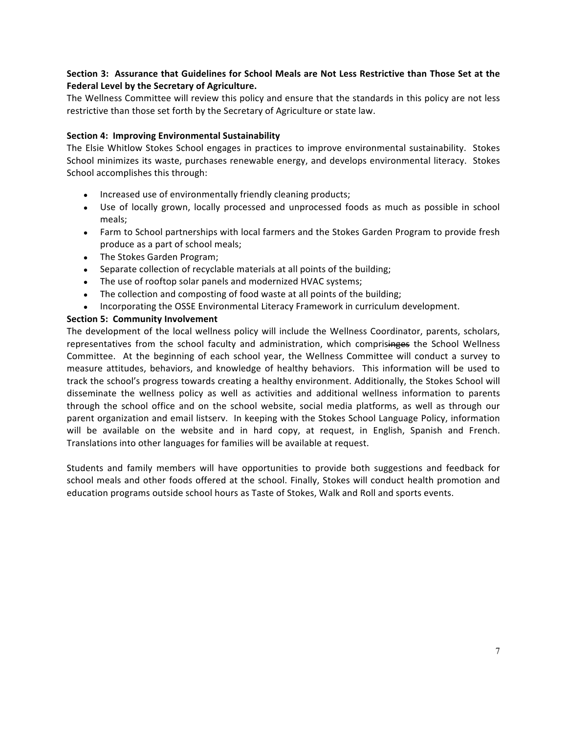# Section 3: Assurance that Guidelines for School Meals are Not Less Restrictive than Those Set at the Federal Level by the Secretary of Agriculture.

The Wellness Committee will review this policy and ensure that the standards in this policy are not less restrictive than those set forth by the Secretary of Agriculture or state law.

### **Section 4: Improving Environmental Sustainability**

The Elsie Whitlow Stokes School engages in practices to improve environmental sustainability. Stokes School minimizes its waste, purchases renewable energy, and develops environmental literacy. Stokes School accomplishes this through:

- Increased use of environmentally friendly cleaning products;
- Use of locally grown, locally processed and unprocessed foods as much as possible in school meals;
- Farm to School partnerships with local farmers and the Stokes Garden Program to provide fresh produce as a part of school meals;
- The Stokes Garden Program;
- Separate collection of recyclable materials at all points of the building;
- The use of rooftop solar panels and modernized HVAC systems;
- The collection and composting of food waste at all points of the building;
- Incorporating the OSSE Environmental Literacy Framework in curriculum development.

#### **Section 5: Community Involvement**

The development of the local wellness policy will include the Wellness Coordinator, parents, scholars, representatives from the school faculty and administration, which comprisinges the School Wellness Committee. At the beginning of each school year, the Wellness Committee will conduct a survey to measure attitudes, behaviors, and knowledge of healthy behaviors. This information will be used to track the school's progress towards creating a healthy environment. Additionally, the Stokes School will disseminate the wellness policy as well as activities and additional wellness information to parents through the school office and on the school website, social media platforms, as well as through our parent organization and email listserv. In keeping with the Stokes School Language Policy, information will be available on the website and in hard copy, at request, in English, Spanish and French. Translations into other languages for families will be available at request.

Students and family members will have opportunities to provide both suggestions and feedback for school meals and other foods offered at the school. Finally, Stokes will conduct health promotion and education programs outside school hours as Taste of Stokes, Walk and Roll and sports events.